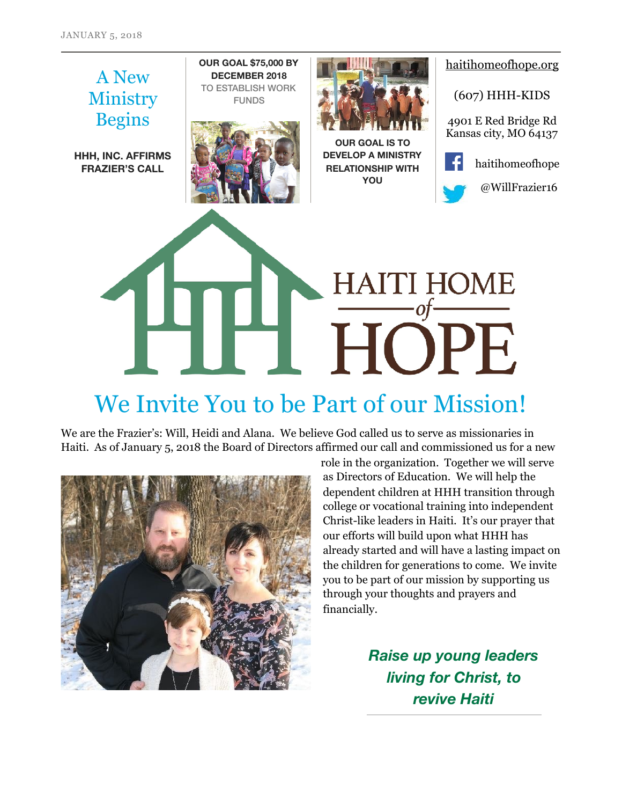

**HHH, INC. AFFIRMS FRAZIER'S CALL**

**OUR GOAL \$75,000 BY DECEMBER 2018** TO ESTABLISH WORK FUNDS





**OUR GOAL IS TO DEVELOP A MINISTRY RELATIONSHIP WITH YOU**

[haitihomeofhope.org](http://haitihomeofhope.org)

#### (607) HHH-KIDS

4901 E Red Bridge Rd Kansas city, MO 64137

haitihomeofhope



**HAITI HOME** 0f HOPE

### We Invite You to be Part of our Mission!

We are the Frazier's: Will, Heidi and Alana. We believe God called us to serve as missionaries in Haiti. As of January 5, 2018 the Board of Directors affirmed our call and commissioned us for a new



role in the organization. Together we will serve as Directors of Education. We will help the dependent children at HHH transition through college or vocational training into independent Christ-like leaders in Haiti. It's our prayer that our efforts will build upon what HHH has already started and will have a lasting impact on the children for generations to come. We invite you to be part of our mission by supporting us through your thoughts and prayers and financially.

> *Raise up young leaders living for Christ, to revive Haiti*